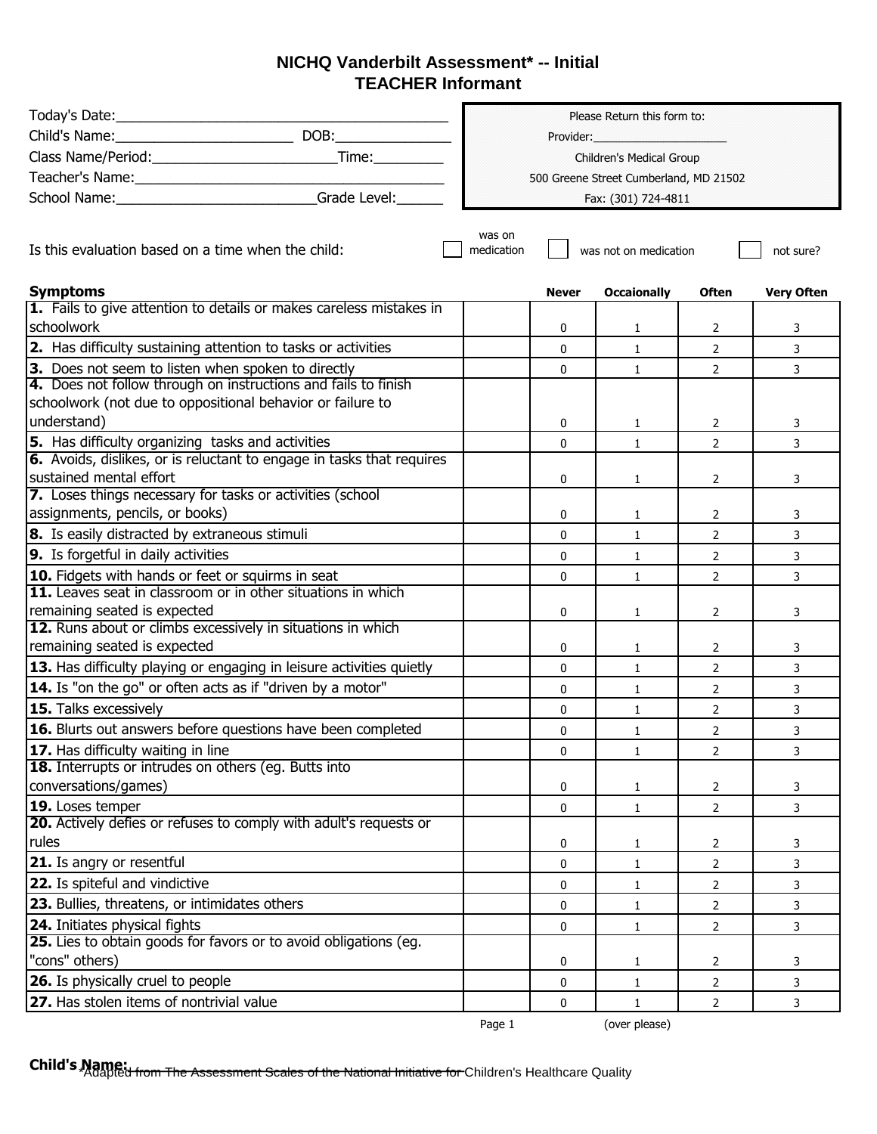## **NICHQ Vanderbilt Assessment\* -- Initial TEACHER Informant**

|                                                                                             | Please Return this form to:            |              |                       |                       |                   |
|---------------------------------------------------------------------------------------------|----------------------------------------|--------------|-----------------------|-----------------------|-------------------|
|                                                                                             |                                        |              |                       |                       |                   |
|                                                                                             | Children's Medical Group               |              |                       |                       |                   |
| Teacher's Name:                                                                             | 500 Greene Street Cumberland, MD 21502 |              |                       |                       |                   |
| School Name: ____________________________Grade Level: ___                                   |                                        |              | Fax: (301) 724-4811   |                       |                   |
|                                                                                             |                                        |              |                       |                       |                   |
| Is this evaluation based on a time when the child:                                          | was on<br>medication                   |              | was not on medication |                       | not sure?         |
| <b>Symptoms</b>                                                                             |                                        | <b>Never</b> | <b>Occaionally</b>    | <b>Often</b>          | <b>Very Often</b> |
| 1. Fails to give attention to details or makes careless mistakes in                         |                                        |              |                       |                       |                   |
| <b>I</b> schoolwork                                                                         |                                        | 0            | 1                     | 2                     | 3                 |
| 2. Has difficulty sustaining attention to tasks or activities                               |                                        | $\mathbf{0}$ | $\mathbf{1}$          | $\overline{2}$        | 3                 |
| 3. Does not seem to listen when spoken to directly                                          |                                        | $\mathbf 0$  | $\mathbf{1}$          | $\overline{2}$        | 3                 |
| 4. Does not follow through on instructions and fails to finish                              |                                        |              |                       |                       |                   |
| schoolwork (not due to oppositional behavior or failure to                                  |                                        |              |                       |                       |                   |
| understand)                                                                                 |                                        | 0            | 1                     | 2                     | 3                 |
| 5. Has difficulty organizing tasks and activities                                           |                                        | $\Omega$     | $\mathbf{1}$          | $\mathcal{P}$         | 3                 |
| 6. Avoids, dislikes, or is reluctant to engage in tasks that requires                       |                                        |              |                       |                       |                   |
| sustained mental effort                                                                     |                                        | 0            | 1                     | 2                     | 3                 |
| 7. Loses things necessary for tasks or activities (school                                   |                                        |              |                       |                       |                   |
| assignments, pencils, or books)                                                             |                                        | 0            | 1                     | 2                     | 3                 |
| 8. Is easily distracted by extraneous stimuli                                               |                                        | 0            | $\mathbf{1}$          | $\overline{2}$        | 3                 |
| <b>9.</b> Is forgetful in daily activities                                                  |                                        | $\mathbf 0$  | $\mathbf{1}$          | $\overline{2}$        | 3                 |
| 10. Fidgets with hands or feet or squirms in seat                                           |                                        | 0            | $\mathbf{1}$          | $\overline{2}$        | 3                 |
| <b>11.</b> Leaves seat in classroom or in other situations in which                         |                                        |              |                       |                       |                   |
| remaining seated is expected                                                                |                                        | 0            | 1                     | $\mathbf{2}^{\prime}$ | 3                 |
| 12. Runs about or climbs excessively in situations in which<br>remaining seated is expected |                                        |              |                       |                       |                   |
|                                                                                             |                                        | 0            | 1                     | 2                     | 3                 |
| 13. Has difficulty playing or engaging in leisure activities quietly                        |                                        | $\mathbf{0}$ | $\mathbf{1}$          | $\overline{2}$        | 3                 |
| <b>14.</b> Is "on the go" or often acts as if "driven by a motor"                           |                                        | 0            | $\mathbf{1}$          | $\mathbf{2}$          | 3                 |
| <b>15.</b> Talks excessively                                                                |                                        | $\Omega$     | $\mathbf{1}$          | $\overline{2}$        | 3                 |
| 16. Blurts out answers before questions have been completed                                 |                                        | 0            | $\mathbf{1}$          | $\overline{2}$        | 3                 |
| 17. Has difficulty waiting in line                                                          |                                        | 0            | $\mathbf{1}$          | $\overline{2}$        | 3                 |
| 18. Interrupts or intrudes on others (eg. Butts into                                        |                                        |              |                       |                       |                   |
| conversations/games)                                                                        |                                        | 0            | $\mathbf{1}$          | $\overline{2}$        | 3                 |
| 19. Loses temper                                                                            |                                        | $\mathbf 0$  | $\mathbf{1}$          | $\overline{2}$        | 3                 |
| 20. Actively defies or refuses to comply with adult's requests or                           |                                        |              |                       |                       |                   |
| rules                                                                                       |                                        | 0            | $\mathbf{1}$          | 2                     | 3                 |
| <b>21.</b> Is angry or resentful                                                            |                                        | $\mathbf 0$  | $\mathbf{1}$          | $\overline{2}$        | 3                 |
| 22. Is spiteful and vindictive                                                              |                                        | 0            | 1                     | $\overline{2}$        | 3                 |
| <b>23.</b> Bullies, threatens, or intimidates others                                        |                                        | 0            | $\mathbf{1}$          | $\overline{2}$        | 3                 |
| 24. Initiates physical fights                                                               |                                        | $\mathbf 0$  | $\mathbf{1}$          | $\overline{2}$        | 3                 |
| <b>25.</b> Lies to obtain goods for favors or to avoid obligations (eg.                     |                                        |              |                       |                       |                   |
| "cons" others)                                                                              |                                        | 0            | 1                     | 2                     | 3                 |
| <b>26.</b> Is physically cruel to people                                                    |                                        | 0            | $\mathbf{1}$          | $\overline{2}$        | 3                 |
| 27. Has stolen items of nontrivial value                                                    |                                        | 0            | $\mathbf{1}$          | $\overline{2}$        | 3                 |

Page 1 (over please)